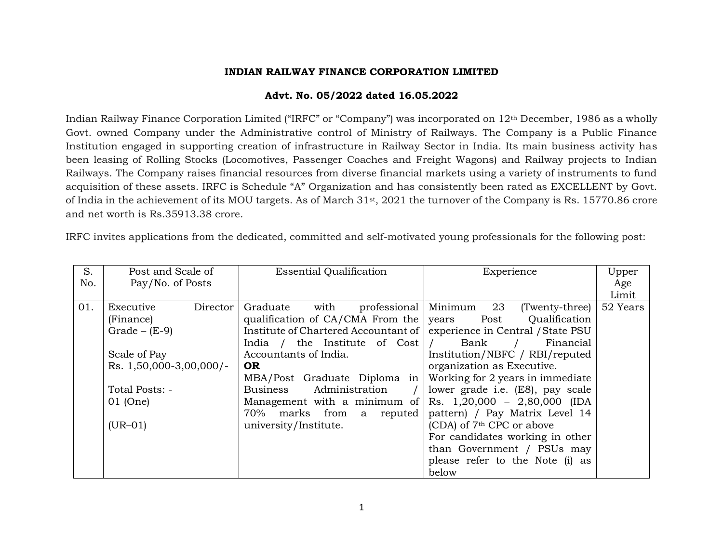#### **INDIAN RAILWAY FINANCE CORPORATION LIMITED**

### **Advt. No. 05/2022 dated 16.05.2022**

Indian Railway Finance Corporation Limited ("IRFC" or "Company") was incorporated on 12th December, 1986 as a wholly Govt. owned Company under the Administrative control of Ministry of Railways. The Company is a Public Finance Institution engaged in supporting creation of infrastructure in Railway Sector in India. Its main business activity has been leasing of Rolling Stocks (Locomotives, Passenger Coaches and Freight Wagons) and Railway projects to Indian Railways. The Company raises financial resources from diverse financial markets using a variety of instruments to fund acquisition of these assets. IRFC is Schedule "A" Organization and has consistently been rated as EXCELLENT by Govt. of India in the achievement of its MOU targets. As of March 31st, 2021 the turnover of the Company is Rs. 15770.86 crore and net worth is Rs.35913.38 crore.

IRFC invites applications from the dedicated, committed and self-motivated young professionals for the following post:

| S.  | Post and Scale of          | <b>Essential Qualification</b>                                           | Experience                                | Upper    |
|-----|----------------------------|--------------------------------------------------------------------------|-------------------------------------------|----------|
| No. | Pay/No. of Posts           |                                                                          |                                           | Age      |
|     |                            |                                                                          |                                           | Limit    |
| 01. | Executive<br>Director      | with<br>Graduate                                                         | professional Minimum 23<br>(Twenty-three) | 52 Years |
|     | (Finance)                  | qualification of $CA/CMA$ From the years Post Qualification              |                                           |          |
|     | $Grade - (E-9)$            | Institute of Chartered Accountant of   experience in Central / State PSU |                                           |          |
|     |                            | India / the Institute of $Cost /$                                        | Financial<br>Bank                         |          |
|     | Scale of Pay               | Accountants of India.                                                    | Institution/NBFC / RBI/reputed            |          |
|     | Rs. $1,50,000-3,00,000$ /- | <b>OR</b>                                                                | organization as Executive.                |          |
|     |                            | MBA/Post Graduate Diploma in                                             | Working for 2 years in immediate          |          |
|     | Total Posts: -             | Business Administration                                                  | lower grade i.e. (E8), pay scale          |          |
|     | 01 (One)                   | Management with a minimum of                                             | Rs. $1,20,000 - 2,80,000$ (IDA            |          |
|     |                            | 70% marks from a reputed                                                 | pattern) / Pay Matrix Level 14            |          |
|     | $(UR-01)$                  | university/Institute.                                                    | (CDA) of 7 <sup>th</sup> CPC or above     |          |
|     |                            |                                                                          | For candidates working in other           |          |
|     |                            |                                                                          | than Government / PSUs may                |          |
|     |                            |                                                                          | please refer to the Note (i) as           |          |
|     |                            |                                                                          | below                                     |          |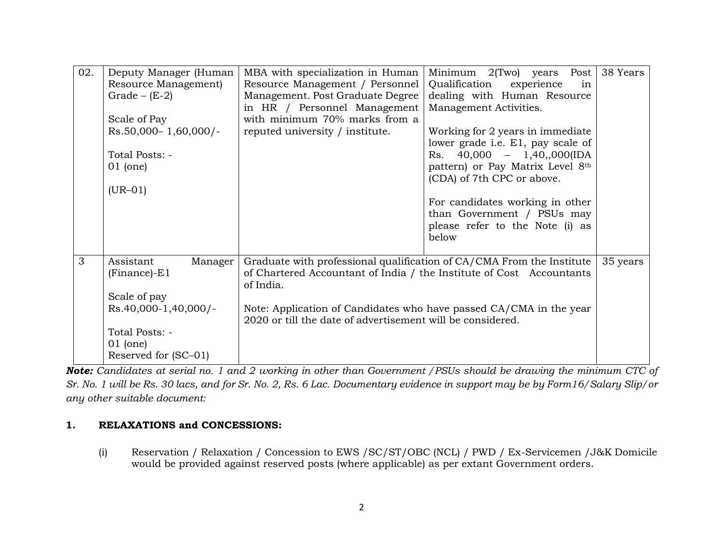| 02. | Deputy Manager (Human<br>Resource Management)<br>Grade $-$ (E-2)                                                                        | MBA with specialization in Human<br>Resource Management / Personnel<br>Management. Post Graduate Degree<br>in HR / Personnel Management                                                                                                                                                        | $2$ (Two) years<br>Minimum<br>Post<br>Qualification<br>experience<br>in<br>dealing with Human Resource<br>Management Activities.                                        | 38 Years |
|-----|-----------------------------------------------------------------------------------------------------------------------------------------|------------------------------------------------------------------------------------------------------------------------------------------------------------------------------------------------------------------------------------------------------------------------------------------------|-------------------------------------------------------------------------------------------------------------------------------------------------------------------------|----------|
|     | Scale of Pay<br>$Rs.50,000 - 1,60,000$ /-<br>Total Posts: -<br>$01$ (one)<br>$(UR-01)$                                                  | with minimum 70% marks from a<br>reputed university / institute.                                                                                                                                                                                                                               | Working for 2 years in immediate<br>lower grade i.e. E1, pay scale of<br>Rs. $40,000 - 1,40,000$ (IDA<br>pattern) or Pay Matrix Level 8th<br>(CDA) of 7th CPC or above. |          |
|     |                                                                                                                                         |                                                                                                                                                                                                                                                                                                | For candidates working in other<br>than Government / PSUs may<br>please refer to the Note (i) as<br>below                                                               |          |
| 3   | Assistant<br>Manager<br>$(Finance)$ -E1<br>Scale of pay<br>Rs.40,000-1,40,000/-<br>Total Posts: -<br>$01$ (one)<br>Reserved for (SC–01) | Graduate with professional qualification of CA/CMA From the Institute<br>of Chartered Accountant of India / the Institute of Cost Accountants<br>of India.<br>Note: Application of Candidates who have passed CA/CMA in the year<br>2020 or till the date of advertisement will be considered. |                                                                                                                                                                         | 35 years |

*Note: Candidates at serial no. 1 and 2 working in other than Government /PSUs should be drawing the minimum CTC of Sr. No. 1 will be Rs. 30 lacs, and for Sr. No. 2, Rs. 6 Lac. Documentary evidence in support may be by Form16/Salary Slip/or any other suitable document:*

## **1. RELAXATIONS and CONCESSIONS:**

(i) Reservation / Relaxation / Concession to EWS /SC/ST/OBC (NCL) / PWD / Ex-Servicemen /J&K Domicile would be provided against reserved posts (where applicable) as per extant Government orders.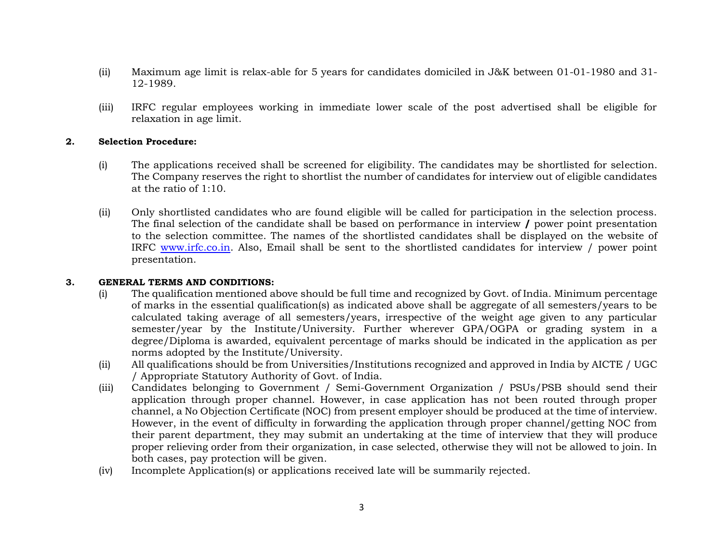- (ii) Maximum age limit is relax-able for 5 years for candidates domiciled in J&K between 01-01-1980 and 31- 12-1989.
- (iii) IRFC regular employees working in immediate lower scale of the post advertised shall be eligible for relaxation in age limit.

#### **2. Selection Procedure:**

- (i) The applications received shall be screened for eligibility. The candidates may be shortlisted for selection. The Company reserves the right to shortlist the number of candidates for interview out of eligible candidates at the ratio of 1:10.
- (ii) Only shortlisted candidates who are found eligible will be called for participation in the selection process. The final selection of the candidate shall be based on performance in interview **/** power point presentation to the selection committee. The names of the shortlisted candidates shall be displayed on the website of IRFC [www.irfc.co.in.](http://www.irfc.co.in/) Also, Email shall be sent to the shortlisted candidates for interview / power point presentation.

#### **3. GENERAL TERMS AND CONDITIONS:**

- (i) The qualification mentioned above should be full time and recognized by Govt. of India. Minimum percentage of marks in the essential qualification(s) as indicated above shall be aggregate of all semesters/years to be calculated taking average of all semesters/years, irrespective of the weight age given to any particular semester/year by the Institute/University. Further wherever GPA/OGPA or grading system in a degree/Diploma is awarded, equivalent percentage of marks should be indicated in the application as per norms adopted by the Institute/University.
- (ii) All qualifications should be from Universities/Institutions recognized and approved in India by AICTE / UGC / Appropriate Statutory Authority of Govt. of India.
- (iii) Candidates belonging to Government / Semi-Government Organization / PSUs/PSB should send their application through proper channel. However, in case application has not been routed through proper channel, a No Objection Certificate (NOC) from present employer should be produced at the time of interview. However, in the event of difficulty in forwarding the application through proper channel/getting NOC from their parent department, they may submit an undertaking at the time of interview that they will produce proper relieving order from their organization, in case selected, otherwise they will not be allowed to join. In both cases, pay protection will be given.
- (iv) Incomplete Application(s) or applications received late will be summarily rejected.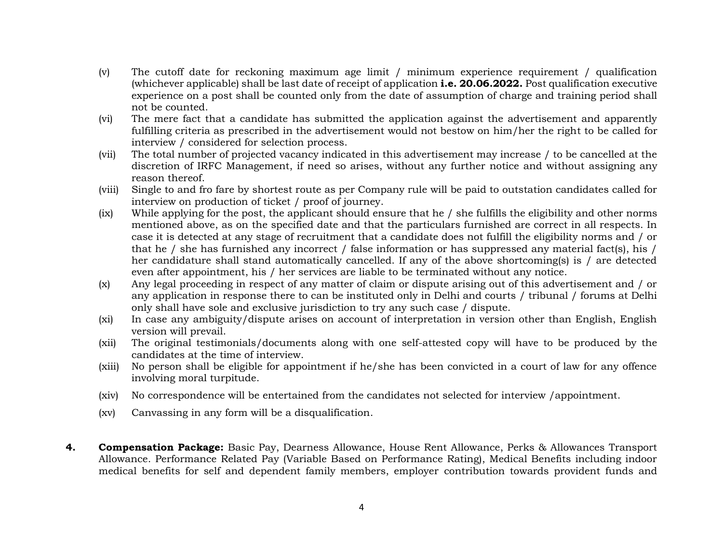- (v) The cutoff date for reckoning maximum age limit / minimum experience requirement / qualification (whichever applicable) shall be last date of receipt of application **i.e. 20.06.2022.** Post qualification executive experience on a post shall be counted only from the date of assumption of charge and training period shall not be counted.
- (vi) The mere fact that a candidate has submitted the application against the advertisement and apparently fulfilling criteria as prescribed in the advertisement would not bestow on him/her the right to be called for interview / considered for selection process.
- (vii) The total number of projected vacancy indicated in this advertisement may increase / to be cancelled at the discretion of IRFC Management, if need so arises, without any further notice and without assigning any reason thereof.
- (viii) Single to and fro fare by shortest route as per Company rule will be paid to outstation candidates called for interview on production of ticket / proof of journey.
- (ix) While applying for the post, the applicant should ensure that he / she fulfills the eligibility and other norms mentioned above, as on the specified date and that the particulars furnished are correct in all respects. In case it is detected at any stage of recruitment that a candidate does not fulfill the eligibility norms and / or that he / she has furnished any incorrect / false information or has suppressed any material fact(s), his / her candidature shall stand automatically cancelled. If any of the above shortcoming(s) is / are detected even after appointment, his / her services are liable to be terminated without any notice.
- (x) Any legal proceeding in respect of any matter of claim or dispute arising out of this advertisement and / or any application in response there to can be instituted only in Delhi and courts / tribunal / forums at Delhi only shall have sole and exclusive jurisdiction to try any such case / dispute.
- (xi) In case any ambiguity/dispute arises on account of interpretation in version other than English, English version will prevail.
- (xii) The original testimonials/documents along with one self-attested copy will have to be produced by the candidates at the time of interview.
- (xiii) No person shall be eligible for appointment if he/she has been convicted in a court of law for any offence involving moral turpitude.
- (xiv) No correspondence will be entertained from the candidates not selected for interview /appointment.
- (xv) Canvassing in any form will be a disqualification.
- **4. Compensation Package:** Basic Pay, Dearness Allowance, House Rent Allowance, Perks & Allowances Transport Allowance. Performance Related Pay (Variable Based on Performance Rating), Medical Benefits including indoor medical benefits for self and dependent family members, employer contribution towards provident funds and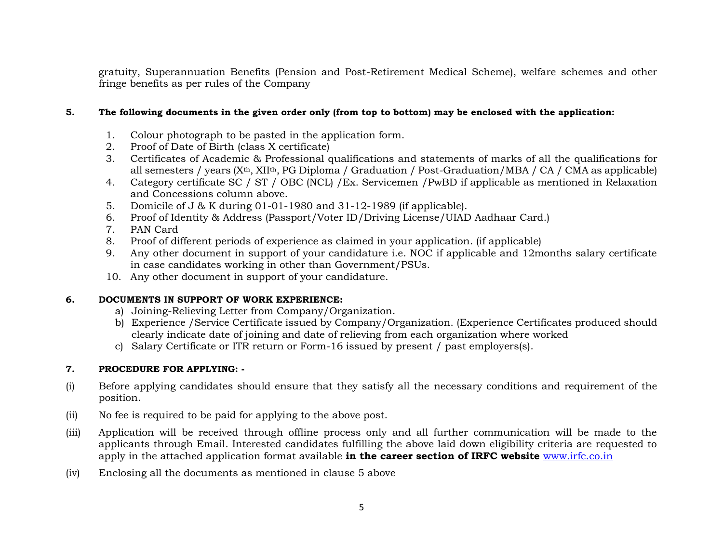gratuity, Superannuation Benefits (Pension and Post-Retirement Medical Scheme), welfare schemes and other fringe benefits as per rules of the Company

#### **5. The following documents in the given order only (from top to bottom) may be enclosed with the application:**

- 1. Colour photograph to be pasted in the application form.
- 2. Proof of Date of Birth (class X certificate)
- 3. Certificates of Academic & Professional qualifications and statements of marks of all the qualifications for all semesters / years (Xth, XIIth, PG Diploma / Graduation / Post-Graduation/MBA / CA / CMA as applicable)
- 4. Category certificate SC / ST / OBC (NCL) /Ex. Servicemen /PwBD if applicable as mentioned in Relaxation and Concessions column above.
- 5. Domicile of J & K during 01-01-1980 and 31-12-1989 (if applicable).
- 6. Proof of Identity & Address (Passport/Voter ID/Driving License/UIAD Aadhaar Card.)
- 7. PAN Card
- 8. Proof of different periods of experience as claimed in your application. (if applicable)
- 9. Any other document in support of your candidature i.e. NOC if applicable and 12months salary certificate in case candidates working in other than Government/PSUs.
- 10. Any other document in support of your candidature.

### **6. DOCUMENTS IN SUPPORT OF WORK EXPERIENCE:**

- a) Joining-Relieving Letter from Company/Organization.
- b) Experience /Service Certificate issued by Company/Organization. (Experience Certificates produced should clearly indicate date of joining and date of relieving from each organization where worked
- c) Salary Certificate or ITR return or Form-16 issued by present / past employers(s).

### **7. PROCEDURE FOR APPLYING: -**

- (i) Before applying candidates should ensure that they satisfy all the necessary conditions and requirement of the position.
- (ii) No fee is required to be paid for applying to the above post.
- (iii) Application will be received through offline process only and all further communication will be made to the applicants through Email. Interested candidates fulfilling the above laid down eligibility criteria are requested to apply in the attached application format available **in the career section of IRFC website** [www.irfc.co.in](http://www.irfc.co.in/)
- (iv) Enclosing all the documents as mentioned in clause 5 above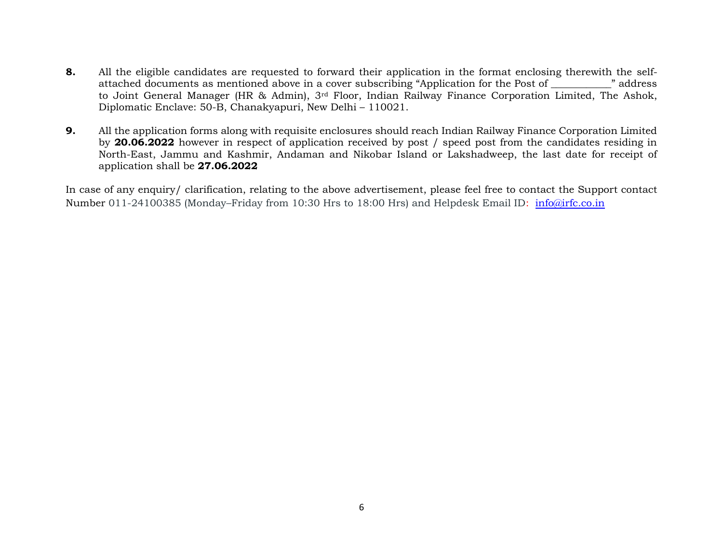- **8.** All the eligible candidates are requested to forward their application in the format enclosing therewith the selfattached documents as mentioned above in a cover subscribing "Application for the Post of \_\_\_\_\_\_\_\_\_\_\_\_" address to Joint General Manager (HR & Admin), 3rd Floor, Indian Railway Finance Corporation Limited, The Ashok, Diplomatic Enclave: 50-B, Chanakyapuri, New Delhi – 110021.
- **9.** All the application forms along with requisite enclosures should reach Indian Railway Finance Corporation Limited by **20.06.2022** however in respect of application received by post / speed post from the candidates residing in North-East, Jammu and Kashmir, Andaman and Nikobar Island or Lakshadweep, the last date for receipt of application shall be **27.06.2022**

In case of any enquiry/ clarification, relating to the above advertisement, please feel free to contact the Support contact Number 011-24100385 (Monday–Friday from 10:30 Hrs to 18:00 Hrs) and Helpdesk Email ID: [info@irfc.co.in](mailto:info@irfc.co.in)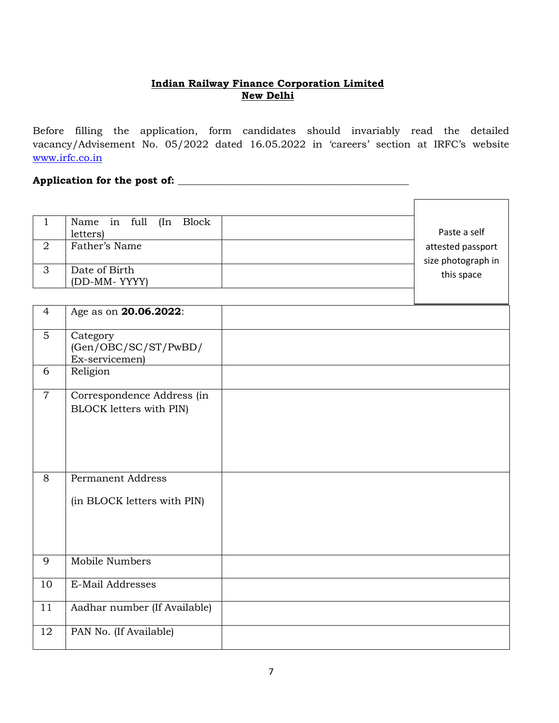# **Indian Railway Finance Corporation Limited New Delhi**

Before filling the application, form candidates should invariably read the detailed vacancy/Advisement No. 05/2022 dated 16.05.2022 in 'careers' section at IRFC's website [www.irfc.co.in](http://www.irfc.co.in/)

 $\sqrt{2}$ 

 $\overline{\phantom{a}}$ 

## **Application for the post of: \_\_\_\_\_\_\_\_\_\_\_\_\_\_\_\_\_\_\_\_\_\_\_\_\_\_\_\_\_\_\_\_\_\_\_\_\_\_\_\_\_\_\_\_\_\_**

|   | Name in full<br>(In Block) |                    |
|---|----------------------------|--------------------|
|   | letters)                   | Paste a self       |
| 2 | Father's Name              | attested passport  |
|   |                            | size photograph in |
| 3 | Date of Birth              |                    |
|   | (DD-MM-YYYY)               | this space         |
|   |                            |                    |

| $\overline{4}$ | Age as on 20.06.2022:                                        |  |
|----------------|--------------------------------------------------------------|--|
| 5 <sup>5</sup> | Category<br>(Gen/OBC/SC/ST/PwBD/<br>Ex-servicemen)           |  |
| 6              | Religion                                                     |  |
| $\overline{7}$ | Correspondence Address (in<br><b>BLOCK</b> letters with PIN) |  |
| 8              | <b>Permanent Address</b><br>(in BLOCK letters with PIN)      |  |
| 9              | Mobile Numbers                                               |  |
| 10             | E-Mail Addresses                                             |  |
| 11             | Aadhar number (If Available)                                 |  |
| 12             | PAN No. (If Available)                                       |  |